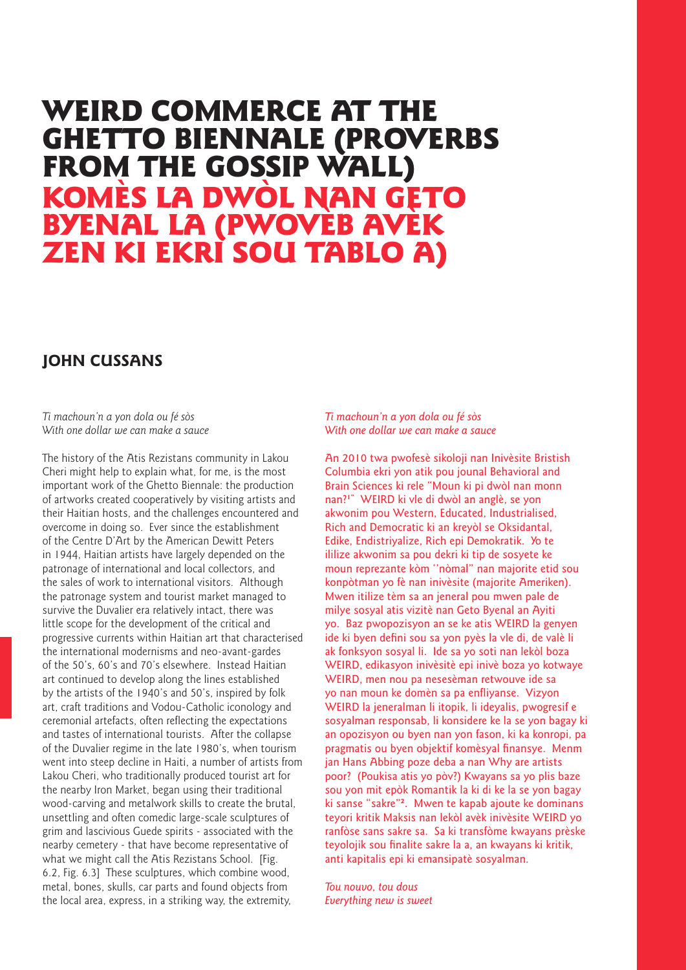# WEIRD COMMERCE AT THE GHETTO BIENNALE (PROVERBS FROM THE GOSSIP WALL)<br>KOMÈS LA DWÒL NAN GETO BYENAL LA (PWOVÈB AVÈK ZEN KI EKRI SOU TABLO A)

# **JOHN CUSSANS**

*Ti machoun'n a yon dola ou fé sòs With one dollar we can make a sauce*

The history of the Atis Rezistans community in Lakou Cheri might help to explain what, for me, is the most important work of the Ghetto Biennale: the production of artworks created cooperatively by visiting artists and their Haitian hosts, and the challenges encountered and overcome in doing so. Ever since the establishment of the Centre D'Art by the American Dewitt Peters in 1944, Haitian artists have largely depended on the patronage of international and local collectors, and the sales of work to international visitors. Although the patronage system and tourist market managed to survive the Duvalier era relatively intact, there was little scope for the development of the critical and progressive currents within Haitian art that characterised the international modernisms and neo-avant-gardes of the 50's, 60's and 70's elsewhere. Instead Haitian art continued to develop along the lines established by the artists of the 1940's and 50's, inspired by folk art, craft traditions and Vodou-Catholic iconology and ceremonial artefacts, often reflecting the expectations and tastes of international tourists. After the collapse of the Duvalier regime in the late 1980's, when tourism went into steep decline in Haiti, a number of artists from Lakou Cheri, who traditionally produced tourist art for the nearby Iron Market, began using their traditional wood-carving and metalwork skills to create the brutal, unsettling and often comedic large-scale sculptures of grim and lascivious Guede spirits - associated with the nearby cemetery - that have become representative of what we might call the Atis Rezistans School. [Fig. 6.2, Fig. 6.3] These sculptures, which combine wood, metal, bones, skulls, car parts and found objects from the local area, express, in a striking way, the extremity,

*Ti machoun'n a yon dola ou fé sòs With one dollar we can make a sauce*

An 2010 twa pwofesè sikoloji nan Inivèsite Bristish Columbia ekri yon atik pou jounal Behavioral and Brain Sciences ki rele "Moun ki pi dwòl nan monn nan?**1"** WEIRD ki vle di dwòl an anglè, se yon akwonim pou Western, Educated, Industrialised, Rich and Democratic ki an kreyòl se Oksidantal, Edike, Endistriyalize, Rich epi Demokratik. Yo te ililize akwonim sa pou dekri ki tip de sosyete ke moun reprezante kòm ''nòmal" nan majorite etid sou konpòtman yo fè nan inivèsite (majorite Ameriken). Mwen itilize tèm sa an jeneral pou mwen pale de milye sosyal atis vizitè nan Geto Byenal an Ayiti yo. Baz pwopozisyon an se ke atis WEIRD la genyen ide ki byen defini sou sa yon pyès la vle di, de valè li ak fonksyon sosyal li. Ide sa yo soti nan lekòl boza WEIRD, edikasyon inivèsitè epi inivè boza yo kotwaye WEIRD, men nou pa nesesèman retwouve ide sa yo nan moun ke domèn sa pa enfliyanse. Vizyon WEIRD la jeneralman li itopik, li ideyalis, pwogresif e sosyalman responsab, li konsidere ke la se yon bagay ki an opozisyon ou byen nan yon fason, ki ka konropi, pa pragmatis ou byen objektif komèsyal finansye. Menm jan Hans Abbing poze deba a nan Why are artists poor? (Poukisa atis yo pòv?) Kwayans sa yo plis baze sou yon mit epòk Romantik la ki di ke la se yon bagay ki sanse "sakre"**<sup>2</sup>**. Mwen te kapab ajoute ke dominans teyori kritik Maksis nan lekòl avèk inivèsite WEIRD yo ranfòse sans sakre sa. Sa ki transfòme kwayans prèske teyolojik sou finalite sakre la a, an kwayans ki kritik, anti kapitalis epi ki emansipatè sosyalman.

*Tou nouvo, tou dous Everything new is sweet*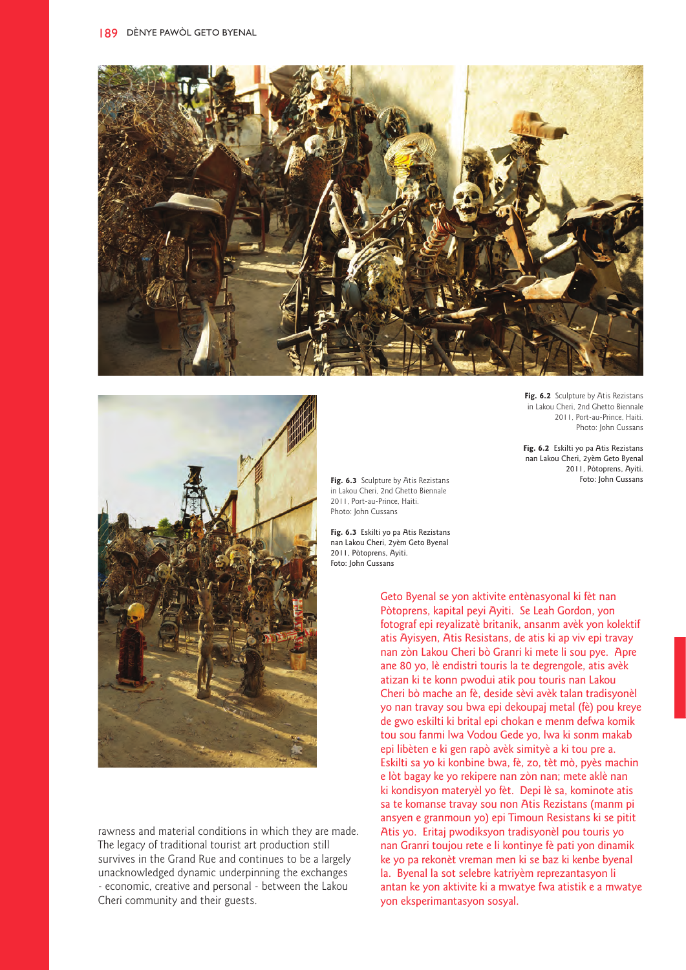



rawness and material conditions in which they are made. The legacy of traditional tourist art production still survives in the Grand Rue and continues to be a largely unacknowledged dynamic underpinning the exchanges - economic, creative and personal - between the Lakou Cheri community and their guests.

2011, Port-au-Prince, Haiti. Photo: John Cussans **Fig. 6.2** Eskilti yo pa Atis Rezistans

nan Lakou Cheri, 2yèm Geto Byenal 2011, Pòtoprens, Ayiti. Foto: John Cussans

**Fig. 6.2** Sculpture by Atis Rezistans in Lakou Cheri, 2nd Ghetto Biennale

**Fig. 6.3** Sculpture by Atis Rezistans in Lakou Cheri, 2nd Ghetto Biennale 2011, Port-au-Prince, Haiti. Photo: John Cussans

**Fig. 6.3** Eskilti yo pa Atis Rezistans nan Lakou Cheri, 2yèm Geto Byenal 2011, Pòtoprens, Ayiti. Foto: John Cussans

> Geto Byenal se yon aktivite entènasyonal ki fèt nan Pòtoprens, kapital peyi Ayiti. Se Leah Gordon, yon fotograf epi reyalizatè britanik, ansanm avèk yon kolektif atis Ayisyen, Atis Resistans, de atis ki ap viv epi travay nan zòn Lakou Cheri bò Granri ki mete li sou pye. Apre ane 80 yo, lè endistri touris la te degrengole, atis avèk atizan ki te konn pwodui atik pou touris nan Lakou Cheri bò mache an fè, deside sèvi avèk talan tradisyonèl yo nan travay sou bwa epi dekoupaj metal (fè) pou kreye de gwo eskilti ki brital epi chokan e menm defwa komik tou sou fanmi lwa Vodou Gede yo, lwa ki sonm makab epi libèten e ki gen rapò avèk simityè a ki tou pre a. Eskilti sa yo ki konbine bwa, fè, zo, tèt mò, pyès machin e lòt bagay ke yo rekipere nan zòn nan; mete aklè nan ki kondisyon materyèl yo fèt. Depi lè sa, kominote atis sa te komanse travay sou non Atis Rezistans (manm pi ansyen e granmoun yo) epi Timoun Resistans ki se pitit Atis yo. Eritaj pwodiksyon tradisyonèl pou touris yo nan Granri toujou rete e li kontinye fè pati yon dinamik ke yo pa rekonèt vreman men ki se baz ki kenbe byenal la. Byenal la sot selebre katriyèm reprezantasyon li antan ke yon aktivite ki a mwatye fwa atistik e a mwatye yon eksperimantasyon sosyal.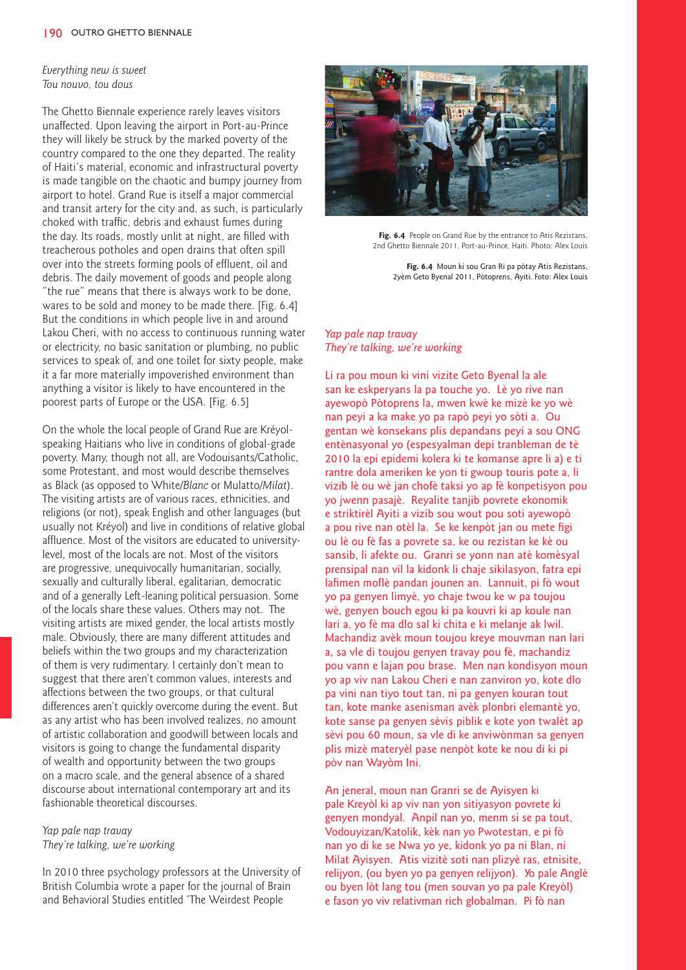*Everything new is sweet Tou nouvo, tou dous*

The Ghetto Biennale experience rarely leaves visitors unaffected. Upon leaving the airport in Port-au-Prince they will likely be struck by the marked poverty of the country compared to the one they departed. The reality of Haiti's material, economic and infrastructural poverty is made tangible on the chaotic and bumpy journey from airport to hotel. Grand Rue is itself a major commercial and transit artery for the city and, as such, is particularly choked with traffic, debris and exhaust fumes during the day. Its roads, mostly unlit at night, are filled with treacherous potholes and open drains that often spill over into the streets forming pools of effluent, oil and debris. The daily movement of goods and people along "the rue" means that there is always work to be done, wares to be sold and money to be made there. [Fig. 6.4] But the conditions in which people live in and around Lakou Cheri, with no access to continuous running water or electricity, no basic sanitation or plumbing, no public services to speak of, and one toilet for sixty people, make it a far more materially impoverished environment than anything a visitor is likely to have encountered in the poorest parts of Europe or the USA. [Fig. 6.5]

On the whole the local people of Grand Rue are Kréyolspeaking Haitians who live in conditions of global-grade poverty. Many, though not all, are Vodouisants/Catholic, some Protestant, and most would describe themselves as Black (as opposed to White/*Blanc* or Mulatto/*Milat*). The visiting artists are of various races, ethnicities, and religions (or not), speak English and other languages (but usually not Kréyol) and live in conditions of relative global affluence. Most of the visitors are educated to universitylevel, most of the locals are not. Most of the visitors are progressive, unequivocally humanitarian, socially, sexually and culturally liberal, egalitarian, democratic and of a generally Left-leaning political persuasion. Some of the locals share these values. Others may not. The visiting artists are mixed gender, the local artists mostly male. Obviously, there are many different attitudes and beliefs within the two groups and my characterization of them is very rudimentary. I certainly don't mean to suggest that there aren't common values, interests and affections between the two groups, or that cultural differences aren't quickly overcome during the event. But as any artist who has been involved realizes, no amount of artistic collaboration and goodwill between locals and visitors is going to change the fundamental disparity of wealth and opportunity between the two groups on a macro scale, and the general absence of a shared discourse about international contemporary art and its fashionable theoretical discourses.

# *Yap pale nap travay They're talking, we're working*

In 2010 three psychology professors at the University of British Columbia wrote a paper for the journal of Brain and Behavioral Studies entitled 'The Weirdest People



**Fig. 6.4** People on Grand Rue by the entrance to Atis Rezistans, 2nd Ghetto Biennale 2011, Port-au-Prince, Haiti. Photo: Alex Louis

**Fig. 6.4** Moun ki sou Gran Ri pa pòtay Atis Rezistans, 2yèm Geto Byenal 2011, Pòtoprens, Ayiti. Foto: Alex Louis

# *Yap pale nap travay They're talking, we're working*

Li ra pou moun ki vini vizite Geto Byenal la ale san ke eskperyans la pa touche yo. Lè yo rive nan ayewopò Pòtoprens la, mwen kwè ke mizè ke yo wè nan peyi a ka make yo pa rapò peyi yo sòti a. Ou gentan wè konsekans plis depandans peyi a sou ONG entènasyonal yo (espesyalman depi tranbleman de tè 2010 la epi epidemi kolera ki te komanse apre li a) e ti rantre dola ameriken ke yon ti gwoup touris pote a, li vizib lè ou wè jan chofè taksi yo ap fè konpetisyon pou yo jwenn pasajè. Reyalite tanjib povrete ekonomik e striktirèl Ayiti a vizib sou wout pou soti ayewopò a pou rive nan otèl la. Se ke kenpòt jan ou mete figi ou lè ou fè fas a povrete sa, ke ou rezistan ke kè ou sansib, li afekte ou. Granri se yonn nan atè komèsyal prensipal nan vil la kidonk li chaje sikilasyon, fatra epi lafimen moflè pandan jounen an. Lannuit, pi fò wout yo pa genyen limyè, yo chaje twou ke w pa toujou wè, genyen bouch egou ki pa kouvri ki ap koule nan lari a, yo fè ma dlo sal ki chita e ki melanje ak lwil. Machandiz avèk moun toujou kreye mouvman nan lari a, sa vle di toujou genyen travay pou fè, machandiz pou vann e lajan pou brase. Men nan kondisyon moun yo ap viv nan Lakou Cheri e nan zanviron yo, kote dlo pa vini nan tiyo tout tan, ni pa genyen kouran tout tan, kote manke asenisman avèk plonbri elemantè yo, kote sanse pa genyen sèvis piblik e kote yon twalèt ap sèvi pou 60 moun, sa vle di ke anviwònman sa genyen plis mizè materyèl pase nenpòt kote ke nou di ki pi pòv nan Wayòm Ini.

An jeneral, moun nan Granri se de Ayisyen ki pale Kreyòl ki ap viv nan yon sitiyasyon povrete ki genyen mondyal. Anpil nan yo, menm si se pa tout, Vodouyizan/Katolik, kèk nan yo Pwotestan, e pi fò nan yo di ke se Nwa yo ye, kidonk yo pa ni Blan, ni Milat Ayisyen. Atis vizitè soti nan plizyè ras, etnisite, relijyon, (ou byen yo pa genyen relijyon). Yo pale Anglè ou byen lòt lang tou (men souvan yo pa pale Kreyòl) e fason yo viv relativman rich globalman. Pi fò nan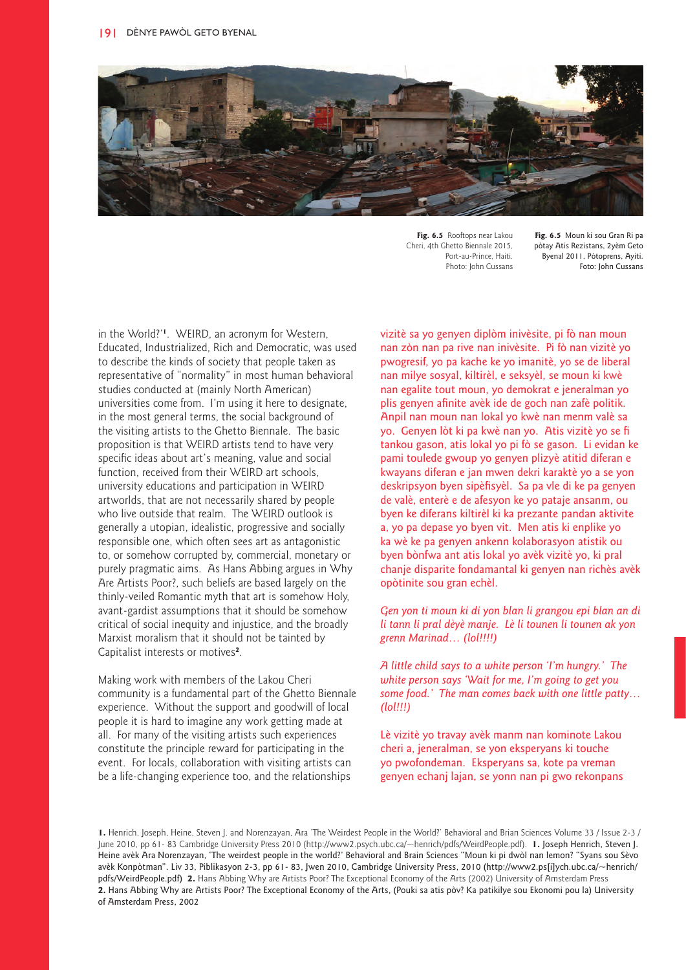

**Fig. 6.5** Rooftops near Lakou Cheri, 4th Ghetto Biennale 2015, Port-au-Prince, Haiti. Photo: John Cussans

**Fig. 6.5** Moun ki sou Gran Ri pa pòtay Atis Rezistans, 2yèm Geto Byenal 2011, Pòtoprens, Ayiti. Foto: John Cussans

in the World?'**<sup>1</sup>**. WEIRD, an acronym for Western, Educated, Industrialized, Rich and Democratic, was used to describe the kinds of society that people taken as representative of "normality" in most human behavioral studies conducted at (mainly North American) universities come from. I'm using it here to designate, in the most general terms, the social background of the visiting artists to the Ghetto Biennale. The basic proposition is that WEIRD artists tend to have very specific ideas about art's meaning, value and social function, received from their WEIRD art schools, university educations and participation in WEIRD artworlds, that are not necessarily shared by people who live outside that realm. The WEIRD outlook is generally a utopian, idealistic, progressive and socially responsible one, which often sees art as antagonistic to, or somehow corrupted by, commercial, monetary or purely pragmatic aims. As Hans Abbing argues in Why Are Artists Poor?, such beliefs are based largely on the thinly-veiled Romantic myth that art is somehow Holy, avant-gardist assumptions that it should be somehow critical of social inequity and injustice, and the broadly Marxist moralism that it should not be tainted by Capitalist interests or motives**<sup>2</sup>**.

Making work with members of the Lakou Cheri community is a fundamental part of the Ghetto Biennale experience. Without the support and goodwill of local people it is hard to imagine any work getting made at all. For many of the visiting artists such experiences constitute the principle reward for participating in the event. For locals, collaboration with visiting artists can be a life-changing experience too, and the relationships

vizitè sa yo genyen diplòm inivèsite, pi fò nan moun nan zòn nan pa rive nan inivèsite. Pi fò nan vizitè yo pwogresif, yo pa kache ke yo imanitè, yo se de liberal nan milye sosyal, kiltirèl, e seksyèl, se moun ki kwè nan egalite tout moun, yo demokrat e jeneralman yo plis genyen afinite avèk ide de goch nan zafè politik. Anpil nan moun nan lokal yo kwè nan menm valè sa yo. Genyen lòt ki pa kwè nan yo. Atis vizitè yo se fi tankou gason, atis lokal yo pi fò se gason. Li evidan ke pami toulede gwoup yo genyen plizyè atitid diferan e kwayans diferan e jan mwen dekri karaktè yo a se yon deskripsyon byen sipèfisyèl. Sa pa vle di ke pa genyen de valè, enterè e de afesyon ke yo pataje ansanm, ou byen ke diferans kiltirèl ki ka prezante pandan aktivite a, yo pa depase yo byen vit. Men atis ki enplike yo ka wè ke pa genyen ankenn kolaborasyon atistik ou byen bònfwa ant atis lokal yo avèk vizitè yo, ki pral chanje disparite fondamantal ki genyen nan richès avèk opòtinite sou gran echèl.

*Gen yon ti moun ki di yon blan li grangou epi blan an di li tann li pral dèyè manje. Lè li tounen li tounen ak yon grenn Marinad… (lol!!!!)*

*A little child says to a white person 'I'm hungry.' The white person says 'Wait for me, I'm going to get you some food.' The man comes back with one little patty… (lol!!!)*

Lè vizitè yo travay avèk manm nan kominote Lakou cheri a, jeneralman, se yon eksperyans ki touche yo pwofondeman. Eksperyans sa, kote pa vreman genyen echanj lajan, se yonn nan pi gwo rekonpans

**1.** Henrich, Joseph, Heine, Steven J. and Norenzayan, Ara 'The Weirdest People in the World?' Behavioral and Brian Sciences Volume 33 / Issue 2-3 / June 2010, pp 61- 83 Cambridge University Press 2010 (http://www2.psych.ubc.ca/~henrich/pdfs/WeirdPeople.pdf). **1.** Joseph Henrich, Steven J. Heine avèk Ara Norenzayan, 'The weirdest people in the world?' Behavioral and Brain Sciences "Moun ki pi dwòl nan lemon? "Syans sou Sèvo avèk Konpòtman". Liv 33, Piblikasyon 2-3, pp 61- 83, Jwen 2010, Cambridge University Press, 2010 (http://www2.ps[i]ych.ubc.ca/~henrich/ pdfs/WeirdPeople.pdf) **2.** Hans Abbing Why are Artists Poor? The Exceptional Economy of the Arts (2002) University of Amsterdam Press **2.** Hans Abbing Why are Artists Poor? The Exceptional Economy of the Arts, (Pouki sa atis pòv? Ka patikilye sou Ekonomi pou la) University of Amsterdam Press, 2002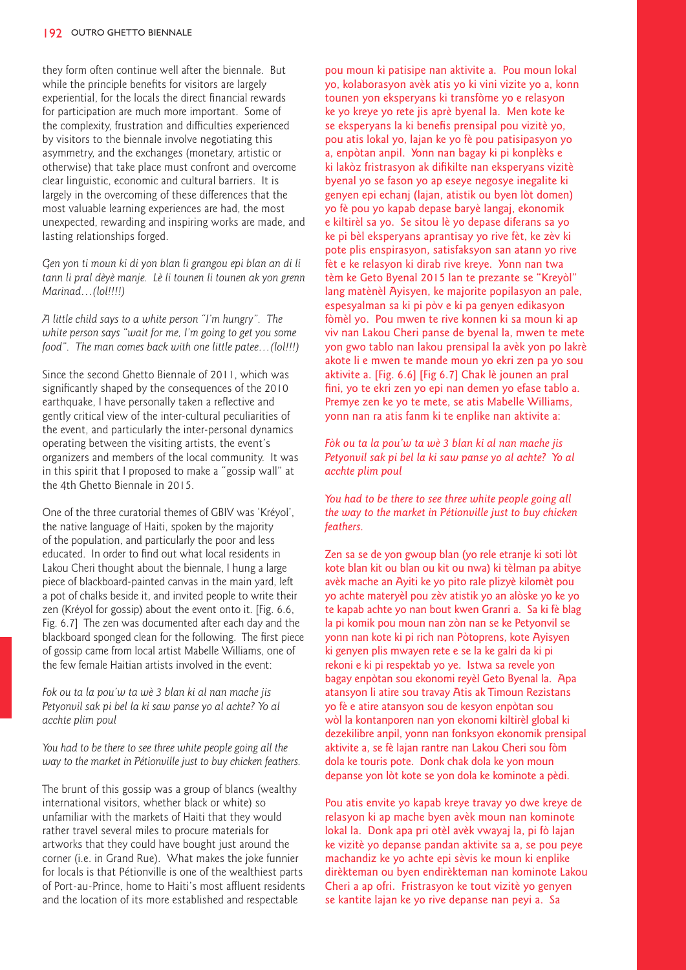they form often continue well after the biennale. But while the principle benefits for visitors are largely experiential, for the locals the direct financial rewards for participation are much more important. Some of the complexity, frustration and difficulties experienced by visitors to the biennale involve negotiating this asymmetry, and the exchanges (monetary, artistic or otherwise) that take place must confront and overcome clear linguistic, economic and cultural barriers. It is largely in the overcoming of these differences that the most valuable learning experiences are had, the most unexpected, rewarding and inspiring works are made, and lasting relationships forged.

*Gen yon ti moun ki di yon blan li grangou epi blan an di li tann li pral dèyè manje. Lè li tounen li tounen ak yon grenn Marinad…(lol!!!!)* 

*A little child says to a white person "I'm hungry". The white person says "wait for me, I'm going to get you some food". The man comes back with one little patee…(lol!!!)* 

Since the second Ghetto Biennale of 2011, which was significantly shaped by the consequences of the 2010 earthquake, I have personally taken a reflective and gently critical view of the inter-cultural peculiarities of the event, and particularly the inter-personal dynamics operating between the visiting artists, the event's organizers and members of the local community. It was in this spirit that I proposed to make a "gossip wall" at the 4th Ghetto Biennale in 2015.

One of the three curatorial themes of GBIV was 'Kréyol', the native language of Haiti, spoken by the majority of the population, and particularly the poor and less educated. In order to find out what local residents in Lakou Cheri thought about the biennale, I hung a large piece of blackboard-painted canvas in the main yard, left a pot of chalks beside it, and invited people to write their zen (Kréyol for gossip) about the event onto it. [Fig. 6.6, Fig. 6.7] The zen was documented after each day and the blackboard sponged clean for the following. The first piece of gossip came from local artist Mabelle Williams, one of the few female Haitian artists involved in the event:

*Fok ou ta la pou'w ta wè 3 blan ki al nan mache jis Petyonvil sak pi bel la ki saw panse yo al achte? Yo al acchte plim poul* 

*You had to be there to see three white people going all the way to the market in Pétionville just to buy chicken feathers.*

The brunt of this gossip was a group of blancs (wealthy international visitors, whether black or white) so unfamiliar with the markets of Haiti that they would rather travel several miles to procure materials for artworks that they could have bought just around the corner (i.e. in Grand Rue). What makes the joke funnier for locals is that Pétionville is one of the wealthiest parts of Port-au-Prince, home to Haiti's most affluent residents and the location of its more established and respectable

pou moun ki patisipe nan aktivite a. Pou moun lokal yo, kolaborasyon avèk atis yo ki vini vizite yo a, konn tounen yon eksperyans ki transfòme yo e relasyon ke yo kreye yo rete jis aprè byenal la. Men kote ke se eksperyans la ki benefis prensipal pou vizitè yo, pou atis lokal yo, lajan ke yo fè pou patisipasyon yo a, enpòtan anpil. Yonn nan bagay ki pi konplèks e ki lakòz fristrasyon ak difikilte nan eksperyans vizitè byenal yo se fason yo ap eseye negosye inegalite ki genyen epi echanj (lajan, atistik ou byen lòt domen) yo fè pou yo kapab depase baryè langaj, ekonomik e kiltirèl sa yo. Se sitou lè yo depase diferans sa yo ke pi bèl eksperyans aprantisay yo rive fèt, ke zèv ki pote plis enspirasyon, satisfaksyon san atann yo rive fèt e ke relasyon ki dirab rive kreye. Yonn nan twa tèm ke Geto Byenal 2015 lan te prezante se "Kreyòl" lang matènèl Ayisyen, ke majorite popilasyon an pale, espesyalman sa ki pi pòv e ki pa genyen edikasyon fòmèl yo. Pou mwen te rive konnen ki sa moun ki ap viv nan Lakou Cheri panse de byenal la, mwen te mete yon gwo tablo nan lakou prensipal la avèk yon po lakrè akote li e mwen te mande moun yo ekri zen pa yo sou aktivite a. [Fig. 6.6] [Fig 6.7] Chak lè jounen an pral fini, yo te ekri zen yo epi nan demen yo efase tablo a. Premye zen ke yo te mete, se atis Mabelle Williams, yonn nan ra atis fanm ki te enplike nan aktivite a:

*Fòk ou ta la pou'w ta wè 3 blan ki al nan mache jis Petyonvil sak pi bel la ki saw panse yo al achte? Yo al acchte plim poul*

*You had to be there to see three white people going all the way to the market in Pétionville just to buy chicken feathers.*

Zen sa se de yon gwoup blan (yo rele etranje ki soti lòt kote blan kit ou blan ou kit ou nwa) ki tèlman pa abitye avèk mache an Ayiti ke yo pito rale plizyè kilomèt pou yo achte materyèl pou zèv atistik yo an alòske yo ke yo te kapab achte yo nan bout kwen Granri a. Sa ki fè blag la pi komik pou moun nan zòn nan se ke Petyonvil se yonn nan kote ki pi rich nan Pòtoprens, kote Ayisyen ki genyen plis mwayen rete e se la ke galri da ki pi rekoni e ki pi respektab yo ye. Istwa sa revele yon bagay enpòtan sou ekonomi reyèl Geto Byenal la. Apa atansyon li atire sou travay Atis ak Timoun Rezistans yo fè e atire atansyon sou de kesyon enpòtan sou wòl la kontanporen nan yon ekonomi kiltirèl global ki dezekilibre anpil, yonn nan fonksyon ekonomik prensipal aktivite a, se fè lajan rantre nan Lakou Cheri sou fòm dola ke touris pote. Donk chak dola ke yon moun depanse yon lòt kote se yon dola ke kominote a pèdi.

Pou atis envite yo kapab kreye travay yo dwe kreye de relasyon ki ap mache byen avèk moun nan kominote lokal la. Donk apa pri otèl avèk vwayaj la, pi fò lajan ke vizitè yo depanse pandan aktivite sa a, se pou peye machandiz ke yo achte epi sèvis ke moun ki enplike dirèkteman ou byen endirèkteman nan kominote Lakou Cheri a ap ofri. Fristrasyon ke tout vizitè yo genyen se kantite lajan ke yo rive depanse nan peyi a. Sa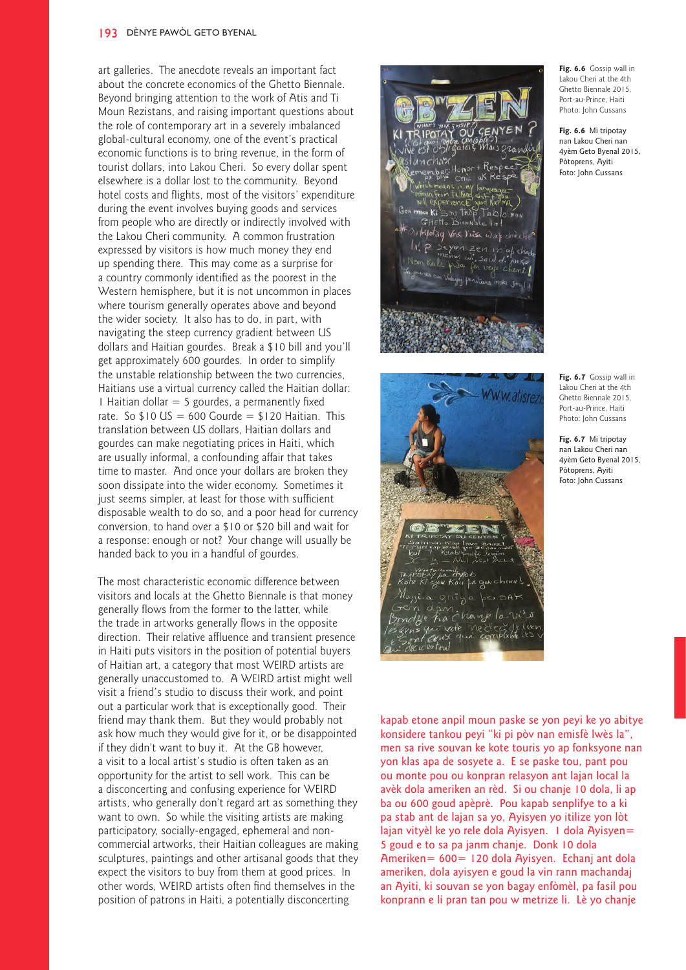#### 193 DÈNYE PAWÒL GETO BYENAL

art galleries. The anecdote reveals an important fact about the concrete economics of the Ghetto Biennale. Beyond bringing attention to the work of Atis and Ti Moun Rezistans, and raising important questions about the role of contemporary art in a severely imbalanced global-cultural economy, one of the event's practical economic functions is to bring revenue, in the form of tourist dollars, into Lakou Cheri. So every dollar spent elsewhere is a dollar lost to the community. Beyond hotel costs and flights, most of the visitors' expenditure during the event involves buying goods and services from people who are directly or indirectly involved with the Lakou Cheri community. A common frustration expressed by visitors is how much money they end up spending there. This may come as a surprise for a country commonly identified as the poorest in the Western hemisphere, but it is not uncommon in places where tourism generally operates above and beyond the wider society. It also has to do, in part, with navigating the steep currency gradient between US dollars and Haitian gourdes. Break a \$10 bill and you'll get approximately 600 gourdes. In order to simplify the unstable relationship between the two currencies, Haitians use a virtual currency called the Haitian dollar: 1 Haitian dollar  $=$  5 gourdes, a permanently fixed rate. So  $$10$  US = 600 Gourde =  $$120$  Haitian. This translation between US dollars, Haitian dollars and gourdes can make negotiating prices in Haiti, which are usually informal, a confounding affair that takes time to master. And once your dollars are broken they soon dissipate into the wider economy. Sometimes it just seems simpler, at least for those with sufficient disposable wealth to do so, and a poor head for currency conversion, to hand over a \$10 or \$20 bill and wait for a response: enough or not? Your change will usually be handed back to you in a handful of gourdes.

The most characteristic economic difference between visitors and locals at the Ghetto Biennale is that money generally flows from the former to the latter, while the trade in artworks generally flows in the opposite direction. Their relative affluence and transient presence in Haiti puts visitors in the position of potential buyers of Haitian art, a category that most WEIRD artists are generally unaccustomed to. A WEIRD artist might well visit a friend's studio to discuss their work, and point out a particular work that is exceptionally good. Their friend may thank them. But they would probably not ask how much they would give for it, or be disappointed if they didn't want to buy it. At the GB however, a visit to a local artist's studio is often taken as an opportunity for the artist to sell work. This can be a disconcerting and confusing experience for WEIRD artists, who generally don't regard art as something they want to own. So while the visiting artists are making participatory, socially-engaged, ephemeral and noncommercial artworks, their Haitian colleagues are making sculptures, paintings and other artisanal goods that they expect the visitors to buy from them at good prices. In other words, WEIRD artists often find themselves in the position of patrons in Haiti, a potentially disconcerting





**Fig. 6.6** Mi tripotay nan Lakou Cheri nan 4yèm Geto Byenal 2015, Pòtoprens, Ayiti Foto: John Cussans



**Fig. 6.7** Gossip wall in Lakou Cheri at the 4th Ghetto Biennale 2015, Port-au-Prince, Haiti Photo: John Cussans

**Fig. 6.7** Mi tripotay nan Lakou Cheri nan 4yèm Geto Byenal 2015, Pòtoprens, Ayiti Foto: John Cussans

kapab etone anpil moun paske se yon peyi ke yo abitye konsidere tankou peyi "ki pi pòv nan emisfè lwès la", men sa rive souvan ke kote touris yo ap fonksyone nan yon klas apa de sosyete a. E se paske tou, pant pou ou monte pou ou konpran relasyon ant lajan local la avèk dola ameriken an rèd. Si ou chanje 10 dola, li ap ba ou 600 goud apèprè. Pou kapab senplifye to a ki pa stab ant de lajan sa yo, Ayisyen yo itilize yon lòt lajan vityèl ke yo rele dola Ayisyen. 1 dola Ayisyen= 5 goud e to sa pa janm chanje. Donk 10 dola Ameriken= 600= 120 dola Ayisyen. Echanj ant dola ameriken, dola ayisyen e goud la vin rann machandaj an Ayiti, ki souvan se yon bagay enfòmèl, pa fasil pou konprann e li pran tan pou w metrize li. Lè yo chanje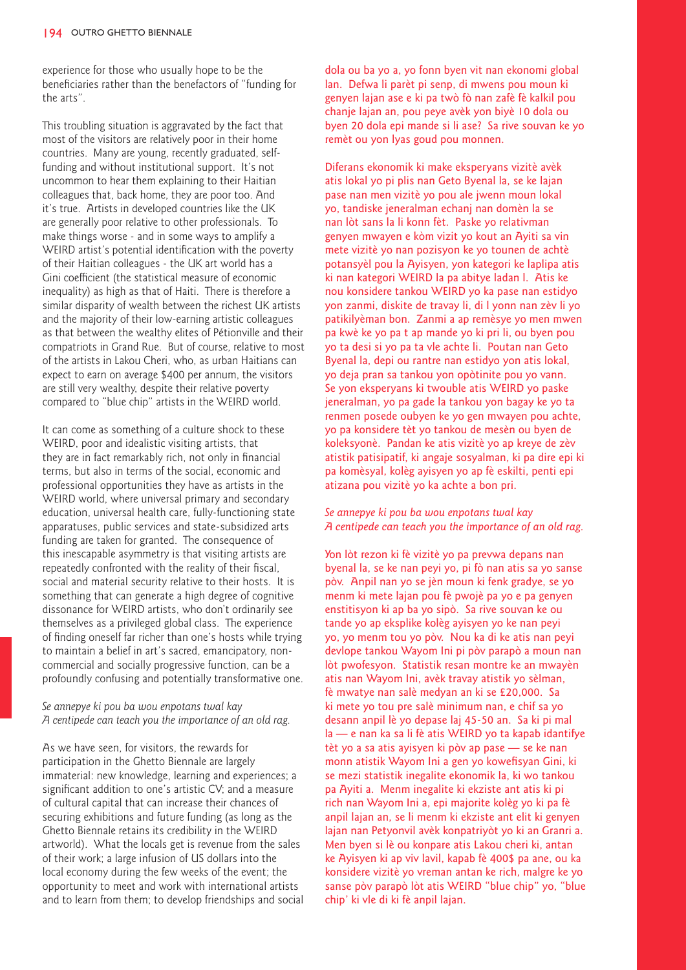experience for those who usually hope to be the beneficiaries rather than the benefactors of "funding for the arts".

This troubling situation is aggravated by the fact that most of the visitors are relatively poor in their home countries. Many are young, recently graduated, selffunding and without institutional support. It's not uncommon to hear them explaining to their Haitian colleagues that, back home, they are poor too. And it's true. Artists in developed countries like the UK are generally poor relative to other professionals. To make things worse - and in some ways to amplify a WEIRD artist's potential identification with the poverty of their Haitian colleagues - the UK art world has a Gini coefficient (the statistical measure of economic inequality) as high as that of Haiti. There is therefore a similar disparity of wealth between the richest UK artists and the majority of their low-earning artistic colleagues as that between the wealthy elites of Pétionville and their compatriots in Grand Rue. But of course, relative to most of the artists in Lakou Cheri, who, as urban Haitians can expect to earn on average \$400 per annum, the visitors are still very wealthy, despite their relative poverty compared to "blue chip" artists in the WEIRD world.

It can come as something of a culture shock to these WEIRD, poor and idealistic visiting artists, that they are in fact remarkably rich, not only in financial terms, but also in terms of the social, economic and professional opportunities they have as artists in the WEIRD world, where universal primary and secondary education, universal health care, fully-functioning state apparatuses, public services and state-subsidized arts funding are taken for granted. The consequence of this inescapable asymmetry is that visiting artists are repeatedly confronted with the reality of their fiscal, social and material security relative to their hosts. It is something that can generate a high degree of cognitive dissonance for WEIRD artists, who don't ordinarily see themselves as a privileged global class. The experience of finding oneself far richer than one's hosts while trying to maintain a belief in art's sacred, emancipatory, noncommercial and socially progressive function, can be a profoundly confusing and potentially transformative one.

# *Se annepye ki pou ba wou enpotans twal kay A centipede can teach you the importance of an old rag.*

As we have seen, for visitors, the rewards for participation in the Ghetto Biennale are largely immaterial: new knowledge, learning and experiences; a significant addition to one's artistic CV; and a measure of cultural capital that can increase their chances of securing exhibitions and future funding (as long as the Ghetto Biennale retains its credibility in the WEIRD artworld). What the locals get is revenue from the sales of their work; a large infusion of US dollars into the local economy during the few weeks of the event; the opportunity to meet and work with international artists and to learn from them; to develop friendships and social dola ou ba yo a, yo fonn byen vit nan ekonomi global lan. Defwa li parèt pi senp, di mwens pou moun ki genyen lajan ase e ki pa twò fò nan zafè fè kalkil pou chanje lajan an, pou peye avèk yon biyè 10 dola ou byen 20 dola epi mande si li ase? Sa rive souvan ke yo remèt ou yon lyas goud pou monnen.

Diferans ekonomik ki make eksperyans vizitè avèk atis lokal yo pi plis nan Geto Byenal la, se ke lajan pase nan men vizitè yo pou ale jwenn moun lokal yo, tandiske jeneralman echanj nan domèn la se nan lòt sans la li konn fèt. Paske yo relativman genyen mwayen e kòm vizit yo kout an Ayiti sa vin mete vizitè yo nan pozisyon ke yo tounen de achtè potansyèl pou la Ayisyen, yon kategori ke laplipa atis ki nan kategori WEIRD la pa abitye ladan l. Atis ke nou konsidere tankou WEIRD yo ka pase nan estidyo yon zanmi, diskite de travay li, di l yonn nan zèv li yo patikilyèman bon. Zanmi a ap remèsye yo men mwen pa kwè ke yo pa t ap mande yo ki pri li, ou byen pou yo ta desi si yo pa ta vle achte li. Poutan nan Geto Byenal la, depi ou rantre nan estidyo yon atis lokal, yo deja pran sa tankou yon opòtinite pou yo vann. Se yon eksperyans ki twouble atis WEIRD yo paske jeneralman, yo pa gade la tankou yon bagay ke yo ta renmen posede oubyen ke yo gen mwayen pou achte, yo pa konsidere tèt yo tankou de mesèn ou byen de koleksyonè. Pandan ke atis vizitè yo ap kreye de zèv atistik patisipatif, ki angaje sosyalman, ki pa dire epi ki pa komèsyal, kolèg ayisyen yo ap fè eskilti, penti epi atizana pou vizitè yo ka achte a bon pri.

## *Se annepye ki pou ba wou enpotans twal kay A centipede can teach you the importance of an old rag.*

Yon lòt rezon ki fè vizitè yo pa prevwa depans nan byenal la, se ke nan peyi yo, pi fò nan atis sa yo sanse pòv. Anpil nan yo se jèn moun ki fenk gradye, se yo menm ki mete lajan pou fè pwojè pa yo e pa genyen enstitisyon ki ap ba yo sipò. Sa rive souvan ke ou tande yo ap eksplike kolèg ayisyen yo ke nan peyi yo, yo menm tou yo pòv. Nou ka di ke atis nan peyi devlope tankou Wayom Ini pi pòv parapò a moun nan lòt pwofesyon. Statistik resan montre ke an mwayèn atis nan Wayom Ini, avèk travay atistik yo sèlman, fè mwatye nan salè medyan an ki se £20,000. Sa ki mete yo tou pre salè minimum nan, e chif sa yo desann anpil lè yo depase laj 45-50 an. Sa ki pi mal la — e nan ka sa li fè atis WEIRD yo ta kapab idantifye tèt yo a sa atis ayisyen ki pòv ap pase — se ke nan monn atistik Wayom Ini a gen yo kowefisyan Gini, ki se mezi statistik inegalite ekonomik la, ki wo tankou pa Ayiti a. Menm inegalite ki ekziste ant atis ki pi rich nan Wayom Ini a, epi majorite kolèg yo ki pa fè anpil lajan an, se li menm ki ekziste ant elit ki genyen lajan nan Petyonvil avèk konpatriyòt yo ki an Granri a. Men byen si lè ou konpare atis Lakou cheri ki, antan ke Ayisyen ki ap viv lavil, kapab fè 400\$ pa ane, ou ka konsidere vizitè yo vreman antan ke rich, malgre ke yo sanse pòv parapò lòt atis WEIRD "blue chip" yo, "blue chip' ki vle di ki fè anpil lajan.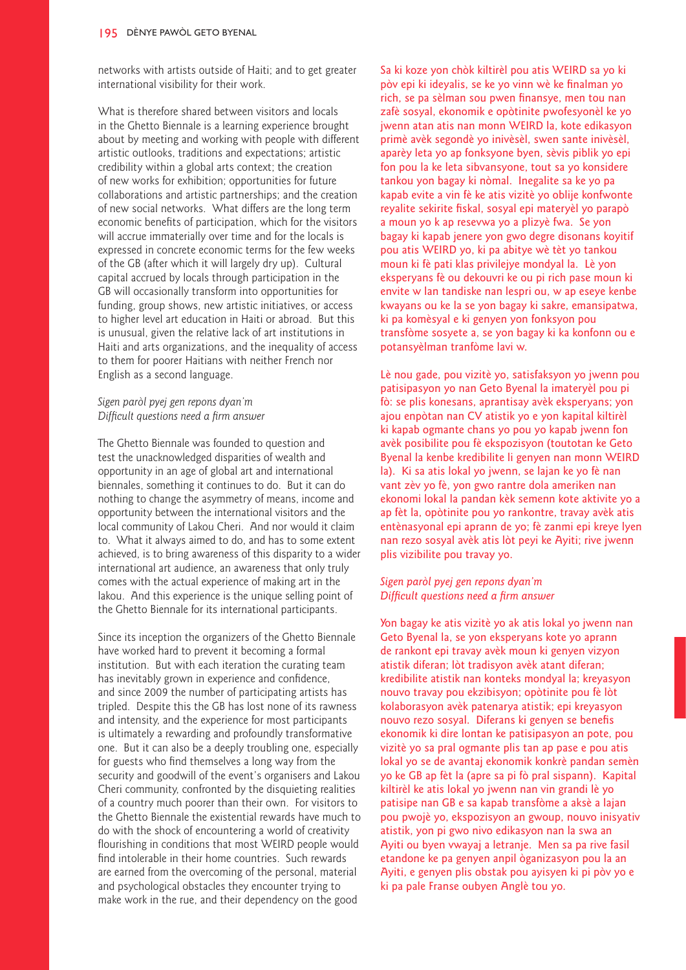networks with artists outside of Haiti; and to get greater international visibility for their work.

What is therefore shared between visitors and locals in the Ghetto Biennale is a learning experience brought about by meeting and working with people with different artistic outlooks, traditions and expectations; artistic credibility within a global arts context; the creation of new works for exhibition; opportunities for future collaborations and artistic partnerships; and the creation of new social networks. What differs are the long term economic benefits of participation, which for the visitors will accrue immaterially over time and for the locals is expressed in concrete economic terms for the few weeks of the GB (after which it will largely dry up). Cultural capital accrued by locals through participation in the GB will occasionally transform into opportunities for funding, group shows, new artistic initiatives, or access to higher level art education in Haiti or abroad. But this is unusual, given the relative lack of art institutions in Haiti and arts organizations, and the inequality of access to them for poorer Haitians with neither French nor English as a second language.

# *Sigen paròl pyej gen repons dyan'm Difficult questions need a firm answer*

The Ghetto Biennale was founded to question and test the unacknowledged disparities of wealth and opportunity in an age of global art and international biennales, something it continues to do. But it can do nothing to change the asymmetry of means, income and opportunity between the international visitors and the local community of Lakou Cheri. And nor would it claim to. What it always aimed to do, and has to some extent achieved, is to bring awareness of this disparity to a wider international art audience, an awareness that only truly comes with the actual experience of making art in the lakou. And this experience is the unique selling point of the Ghetto Biennale for its international participants.

Since its inception the organizers of the Ghetto Biennale have worked hard to prevent it becoming a formal institution. But with each iteration the curating team has inevitably grown in experience and confidence, and since 2009 the number of participating artists has tripled. Despite this the GB has lost none of its rawness and intensity, and the experience for most participants is ultimately a rewarding and profoundly transformative one. But it can also be a deeply troubling one, especially for guests who find themselves a long way from the security and goodwill of the event's organisers and Lakou Cheri community, confronted by the disquieting realities of a country much poorer than their own. For visitors to the Ghetto Biennale the existential rewards have much to do with the shock of encountering a world of creativity flourishing in conditions that most WEIRD people would find intolerable in their home countries. Such rewards are earned from the overcoming of the personal, material and psychological obstacles they encounter trying to make work in the rue, and their dependency on the good

Sa ki koze yon chòk kiltirèl pou atis WEIRD sa yo ki pòv epi ki ideyalis, se ke yo vinn wè ke finalman yo rich, se pa sèlman sou pwen finansye, men tou nan zafè sosyal, ekonomik e opòtinite pwofesyonèl ke yo jwenn atan atis nan monn WEIRD la, kote edikasyon primè avèk segondè yo inivèsèl, swen sante inivèsèl, aparèy leta yo ap fonksyone byen, sèvis piblik yo epi fon pou la ke leta sibvansyone, tout sa yo konsidere tankou yon bagay ki nòmal. Inegalite sa ke yo pa kapab evite a vin fè ke atis vizitè yo oblije konfwonte reyalite sekirite fiskal, sosyal epi materyèl yo parapò a moun yo k ap resevwa yo a plizyè fwa. Se yon bagay ki kapab jenere yon gwo degre disonans koyitif pou atis WEIRD yo, ki pa abitye wè tèt yo tankou moun ki fè pati klas privilejye mondyal la. Lè yon eksperyans fè ou dekouvri ke ou pi rich pase moun ki envite w lan tandiske nan lespri ou, w ap eseye kenbe kwayans ou ke la se yon bagay ki sakre, emansipatwa, ki pa komèsyal e ki genyen yon fonksyon pou transfòme sosyete a, se yon bagay ki ka konfonn ou e potansyèlman tranfòme lavi w.

Lè nou gade, pou vizitè yo, satisfaksyon yo jwenn pou patisipasyon yo nan Geto Byenal la imateryèl pou pi fò: se plis konesans, aprantisay avèk eksperyans; yon ajou enpòtan nan CV atistik yo e yon kapital kiltirèl ki kapab ogmante chans yo pou yo kapab jwenn fon avèk posibilite pou fè ekspozisyon (toutotan ke Geto Byenal la kenbe kredibilite li genyen nan monn WEIRD la). Ki sa atis lokal yo jwenn, se lajan ke yo fè nan vant zèv yo fè, yon gwo rantre dola ameriken nan ekonomi lokal la pandan kèk semenn kote aktivite yo a ap fèt la, opòtinite pou yo rankontre, travay avèk atis entènasyonal epi aprann de yo; fè zanmi epi kreye lyen nan rezo sosyal avèk atis lòt peyi ke Ayiti; rive jwenn plis vizibilite pou travay yo.

## *Sigen paròl pyej gen repons dyan'm Difficult questions need a firm answer*

Yon bagay ke atis vizitè yo ak atis lokal yo jwenn nan Geto Byenal la, se yon eksperyans kote yo aprann de rankont epi travay avèk moun ki genyen vizyon atistik diferan; lòt tradisyon avèk atant diferan; kredibilite atistik nan konteks mondyal la; kreyasyon nouvo travay pou ekzibisyon; opòtinite pou fè lòt kolaborasyon avèk patenarya atistik; epi kreyasyon nouvo rezo sosyal. Diferans ki genyen se benefis ekonomik ki dire lontan ke patisipasyon an pote, pou vizitè yo sa pral ogmante plis tan ap pase e pou atis lokal yo se de avantaj ekonomik konkrè pandan semèn yo ke GB ap fèt la (apre sa pi fò pral sispann). Kapital kiltirèl ke atis lokal yo jwenn nan vin grandi lè yo patisipe nan GB e sa kapab transfòme a aksè a lajan pou pwojè yo, ekspozisyon an gwoup, nouvo inisyativ atistik, yon pi gwo nivo edikasyon nan la swa an Ayiti ou byen vwayaj a letranje. Men sa pa rive fasil etandone ke pa genyen anpil òganizasyon pou la an Ayiti, e genyen plis obstak pou ayisyen ki pi pòv yo e ki pa pale Franse oubyen Anglè tou yo.